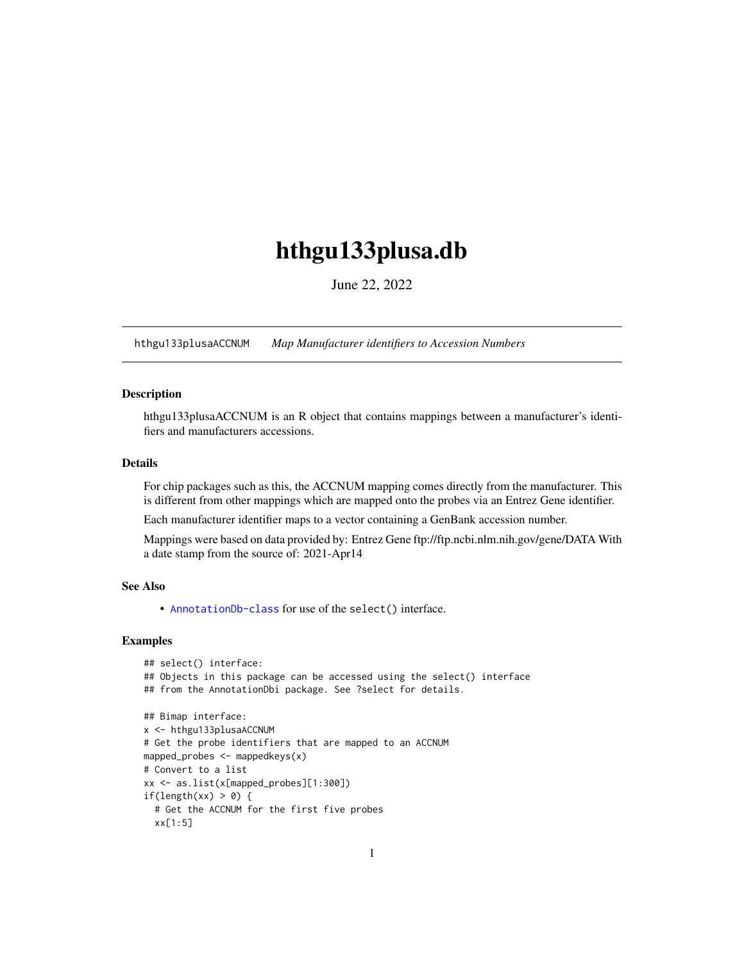# <span id="page-0-1"></span>hthgu133plusa.db

June 22, 2022

<span id="page-0-0"></span>hthgu133plusaACCNUM *Map Manufacturer identifiers to Accession Numbers*

# Description

hthgu133plusaACCNUM is an R object that contains mappings between a manufacturer's identifiers and manufacturers accessions.

## Details

For chip packages such as this, the ACCNUM mapping comes directly from the manufacturer. This is different from other mappings which are mapped onto the probes via an Entrez Gene identifier.

Each manufacturer identifier maps to a vector containing a GenBank accession number.

Mappings were based on data provided by: Entrez Gene ftp://ftp.ncbi.nlm.nih.gov/gene/DATA With a date stamp from the source of: 2021-Apr14

## See Also

• AnnotationDb-class for use of the select() interface.

```
## select() interface:
## Objects in this package can be accessed using the select() interface
## from the AnnotationDbi package. See ?select for details.
## Bimap interface:
x <- hthgu133plusaACCNUM
# Get the probe identifiers that are mapped to an ACCNUM
mapped_probes <- mappedkeys(x)
# Convert to a list
xx <- as.list(x[mapped_probes][1:300])
if(length(xx) > 0) {
  # Get the ACCNUM for the first five probes
  xx[1:5]
```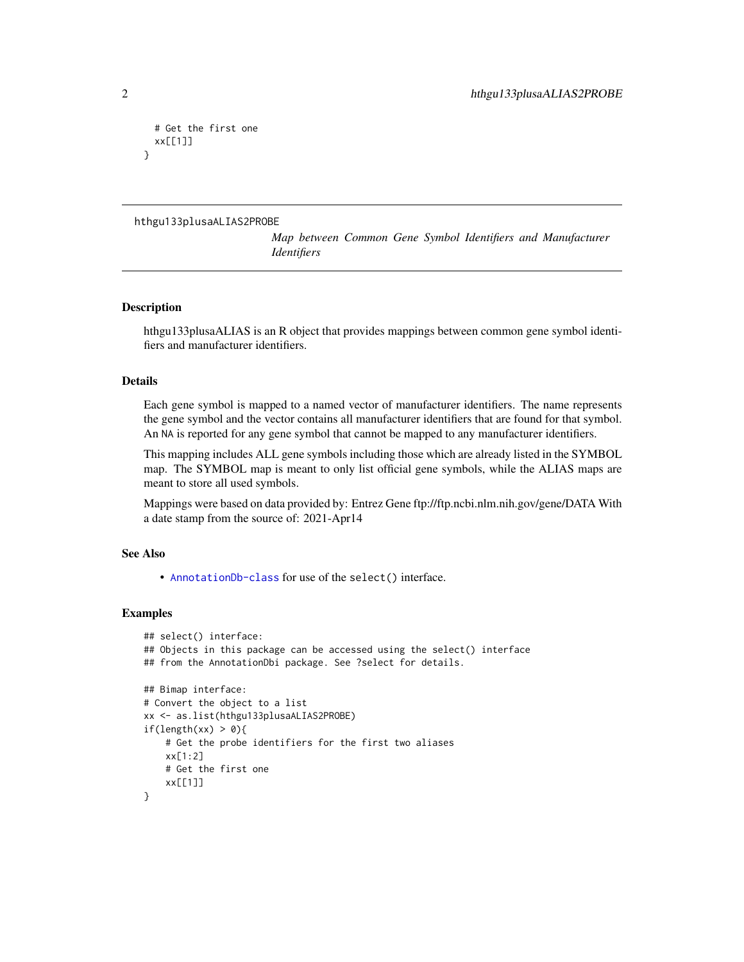```
# Get the first one
 xx[[1]]
}
```

```
hthgu133plusaALIAS2PROBE
```
*Map between Common Gene Symbol Identifiers and Manufacturer Identifiers*

## Description

hthgu133plusaALIAS is an R object that provides mappings between common gene symbol identifiers and manufacturer identifiers.

# Details

Each gene symbol is mapped to a named vector of manufacturer identifiers. The name represents the gene symbol and the vector contains all manufacturer identifiers that are found for that symbol. An NA is reported for any gene symbol that cannot be mapped to any manufacturer identifiers.

This mapping includes ALL gene symbols including those which are already listed in the SYMBOL map. The SYMBOL map is meant to only list official gene symbols, while the ALIAS maps are meant to store all used symbols.

Mappings were based on data provided by: Entrez Gene ftp://ftp.ncbi.nlm.nih.gov/gene/DATA With a date stamp from the source of: 2021-Apr14

## See Also

• [AnnotationDb-class](#page-0-0) for use of the select() interface.

```
## select() interface:
## Objects in this package can be accessed using the select() interface
## from the AnnotationDbi package. See ?select for details.
## Bimap interface:
# Convert the object to a list
xx <- as.list(hthgu133plusaALIAS2PROBE)
if(length(xx) > 0){
    # Get the probe identifiers for the first two aliases
    xx[1:2]
   # Get the first one
   xx[[1]]
}
```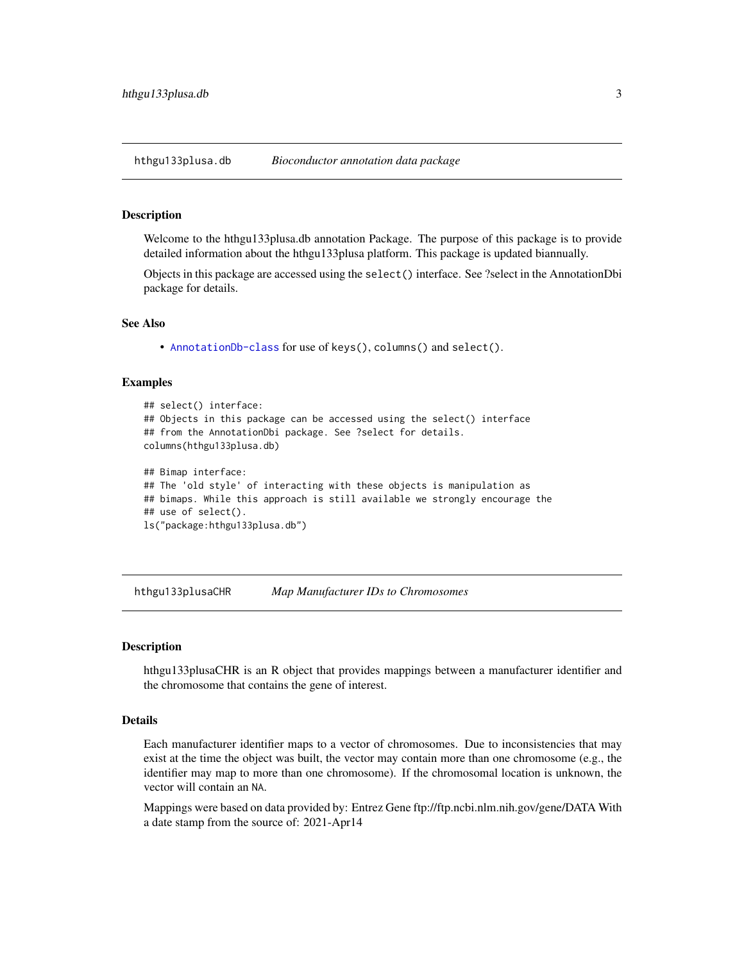<span id="page-2-0"></span>hthgu133plusa.db *Bioconductor annotation data package*

#### Description

Welcome to the hthgu133plusa.db annotation Package. The purpose of this package is to provide detailed information about the hthgu133plusa platform. This package is updated biannually.

Objects in this package are accessed using the select() interface. See ?select in the AnnotationDbi package for details.

## See Also

• [AnnotationDb-class](#page-0-0) for use of keys(), columns() and select().

## Examples

```
## select() interface:
## Objects in this package can be accessed using the select() interface
## from the AnnotationDbi package. See ?select for details.
columns(hthgu133plusa.db)
## Bimap interface:
## The 'old style' of interacting with these objects is manipulation as
## bimaps. While this approach is still available we strongly encourage the
## use of select().
ls("package:hthgu133plusa.db")
```
hthgu133plusaCHR *Map Manufacturer IDs to Chromosomes*

#### **Description**

hthgu133plusaCHR is an R object that provides mappings between a manufacturer identifier and the chromosome that contains the gene of interest.

## Details

Each manufacturer identifier maps to a vector of chromosomes. Due to inconsistencies that may exist at the time the object was built, the vector may contain more than one chromosome (e.g., the identifier may map to more than one chromosome). If the chromosomal location is unknown, the vector will contain an NA.

Mappings were based on data provided by: Entrez Gene ftp://ftp.ncbi.nlm.nih.gov/gene/DATA With a date stamp from the source of: 2021-Apr14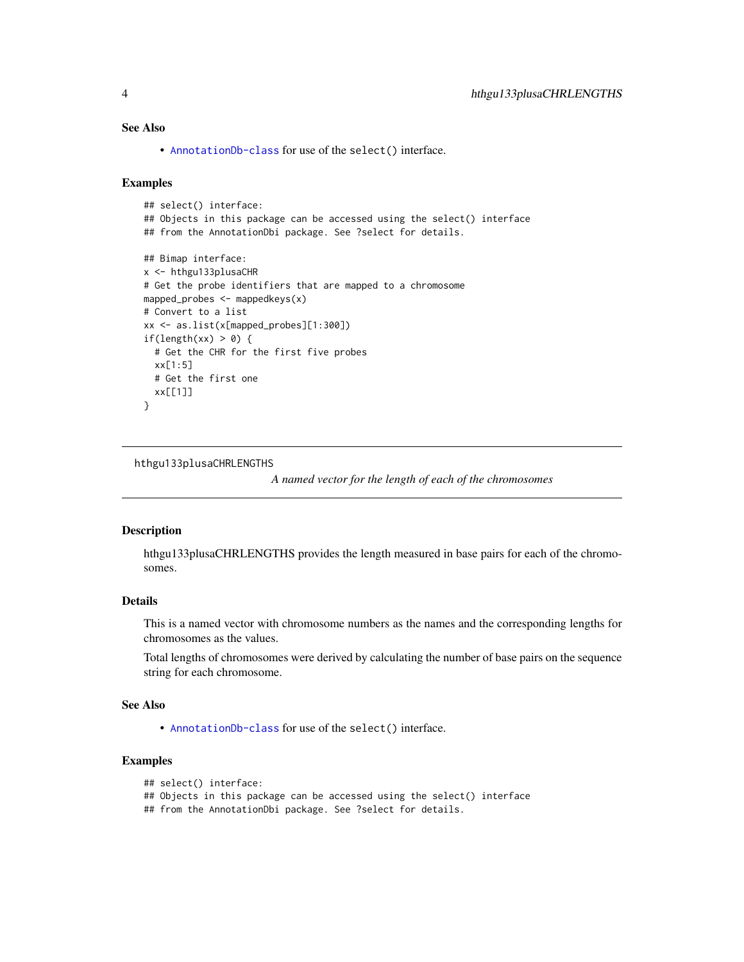# <span id="page-3-0"></span>See Also

• [AnnotationDb-class](#page-0-0) for use of the select() interface.

## Examples

```
## select() interface:
## Objects in this package can be accessed using the select() interface
## from the AnnotationDbi package. See ?select for details.
## Bimap interface:
x <- hthgu133plusaCHR
# Get the probe identifiers that are mapped to a chromosome
mapped_probes <- mappedkeys(x)
# Convert to a list
xx <- as.list(x[mapped_probes][1:300])
if(length(xx) > 0) {
  # Get the CHR for the first five probes
  xx[1:5]
  # Get the first one
  xx[[1]]
}
```
hthgu133plusaCHRLENGTHS

*A named vector for the length of each of the chromosomes*

#### Description

hthgu133plusaCHRLENGTHS provides the length measured in base pairs for each of the chromosomes.

# Details

This is a named vector with chromosome numbers as the names and the corresponding lengths for chromosomes as the values.

Total lengths of chromosomes were derived by calculating the number of base pairs on the sequence string for each chromosome.

## See Also

• [AnnotationDb-class](#page-0-0) for use of the select() interface.

# Examples

```
## select() interface:
```

```
## Objects in this package can be accessed using the select() interface
```
## from the AnnotationDbi package. See ?select for details.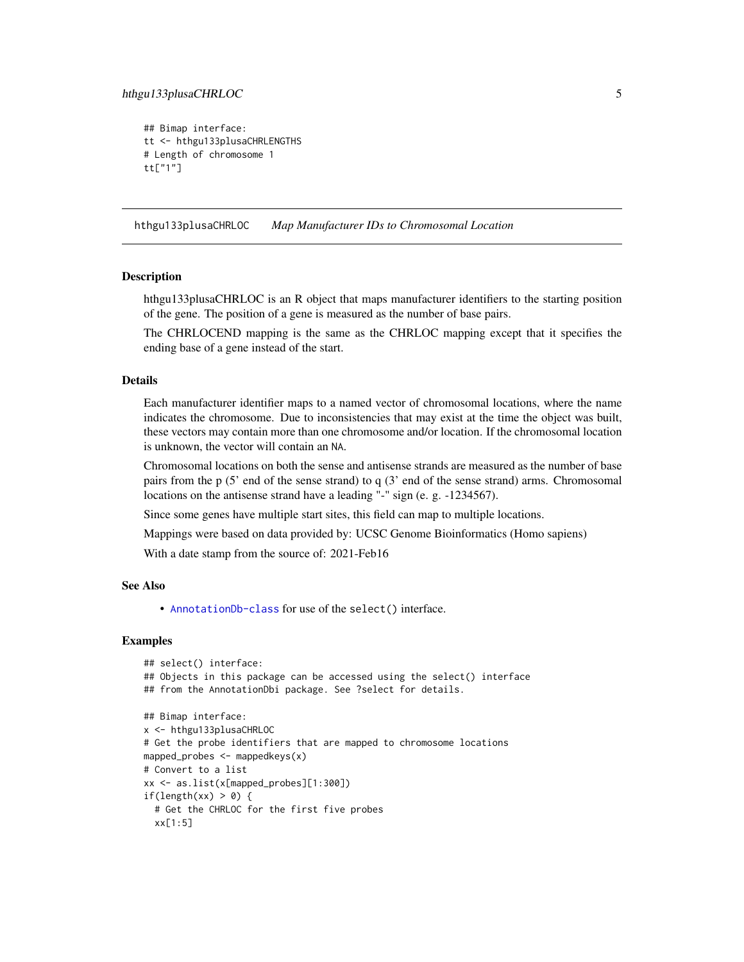```
## Bimap interface:
tt <- hthgu133plusaCHRLENGTHS
# Length of chromosome 1
tt["1"]
```
hthgu133plusaCHRLOC *Map Manufacturer IDs to Chromosomal Location*

#### **Description**

hthgu133plusaCHRLOC is an R object that maps manufacturer identifiers to the starting position of the gene. The position of a gene is measured as the number of base pairs.

The CHRLOCEND mapping is the same as the CHRLOC mapping except that it specifies the ending base of a gene instead of the start.

#### Details

Each manufacturer identifier maps to a named vector of chromosomal locations, where the name indicates the chromosome. Due to inconsistencies that may exist at the time the object was built, these vectors may contain more than one chromosome and/or location. If the chromosomal location is unknown, the vector will contain an NA.

Chromosomal locations on both the sense and antisense strands are measured as the number of base pairs from the p (5' end of the sense strand) to q (3' end of the sense strand) arms. Chromosomal locations on the antisense strand have a leading "-" sign (e. g. -1234567).

Since some genes have multiple start sites, this field can map to multiple locations.

Mappings were based on data provided by: UCSC Genome Bioinformatics (Homo sapiens)

With a date stamp from the source of: 2021-Feb16

#### See Also

• [AnnotationDb-class](#page-0-0) for use of the select() interface.

```
## select() interface:
## Objects in this package can be accessed using the select() interface
## from the AnnotationDbi package. See ?select for details.
## Bimap interface:
x <- hthgu133plusaCHRLOC
# Get the probe identifiers that are mapped to chromosome locations
mapped_probes <- mappedkeys(x)
# Convert to a list
xx <- as.list(x[mapped_probes][1:300])
if(length(xx) > 0) {
 # Get the CHRLOC for the first five probes
 xx[1:5]
```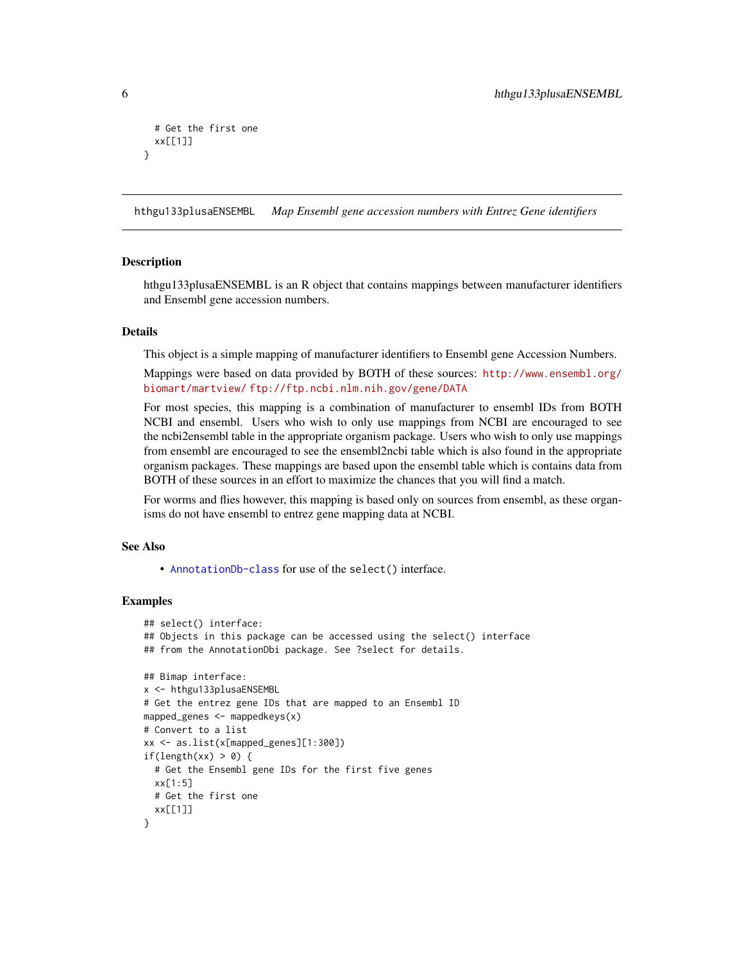```
# Get the first one
 xx[[1]]
}
```
hthgu133plusaENSEMBL *Map Ensembl gene accession numbers with Entrez Gene identifiers*

## **Description**

hthgu133plusaENSEMBL is an R object that contains mappings between manufacturer identifiers and Ensembl gene accession numbers.

## **Details**

This object is a simple mapping of manufacturer identifiers to Ensembl gene Accession Numbers.

Mappings were based on data provided by BOTH of these sources: [http://www.ensembl.org/](http://www.ensembl.org/biomart/martview/) [biomart/martview/](http://www.ensembl.org/biomart/martview/) <ftp://ftp.ncbi.nlm.nih.gov/gene/DATA>

For most species, this mapping is a combination of manufacturer to ensembl IDs from BOTH NCBI and ensembl. Users who wish to only use mappings from NCBI are encouraged to see the ncbi2ensembl table in the appropriate organism package. Users who wish to only use mappings from ensembl are encouraged to see the ensembl2ncbi table which is also found in the appropriate organism packages. These mappings are based upon the ensembl table which is contains data from BOTH of these sources in an effort to maximize the chances that you will find a match.

For worms and flies however, this mapping is based only on sources from ensembl, as these organisms do not have ensembl to entrez gene mapping data at NCBI.

## See Also

• [AnnotationDb-class](#page-0-0) for use of the select() interface.

```
## select() interface:
## Objects in this package can be accessed using the select() interface
## from the AnnotationDbi package. See ?select for details.
## Bimap interface:
x <- hthgu133plusaENSEMBL
# Get the entrez gene IDs that are mapped to an Ensembl ID
mapped_genes <- mappedkeys(x)
# Convert to a list
xx <- as.list(x[mapped_genes][1:300])
if(length(xx) > 0) {
 # Get the Ensembl gene IDs for the first five genes
 xx[1:5]
 # Get the first one
 xx[[1]]
}
```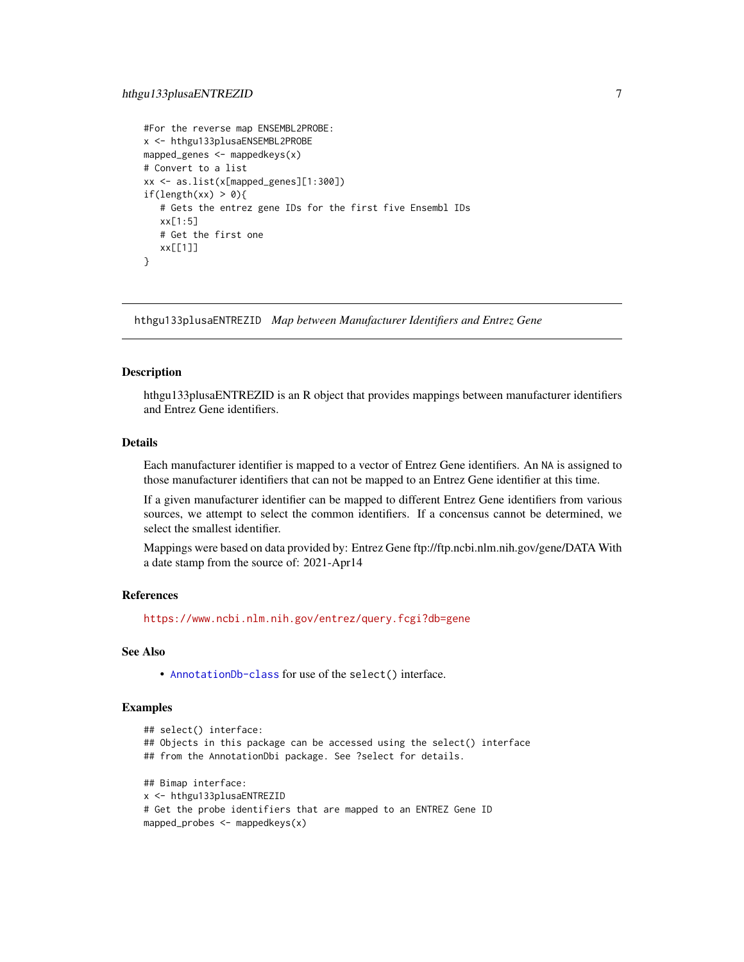```
#For the reverse map ENSEMBL2PROBE:
x <- hthgu133plusaENSEMBL2PROBE
mapped_genes <- mappedkeys(x)
# Convert to a list
xx <- as.list(x[mapped_genes][1:300])
if(length(xx) > 0){
  # Gets the entrez gene IDs for the first five Ensembl IDs
  xx[1:5]
  # Get the first one
  xx[[1]]
}
```
hthgu133plusaENTREZID *Map between Manufacturer Identifiers and Entrez Gene*

## Description

hthgu133plusaENTREZID is an R object that provides mappings between manufacturer identifiers and Entrez Gene identifiers.

## Details

Each manufacturer identifier is mapped to a vector of Entrez Gene identifiers. An NA is assigned to those manufacturer identifiers that can not be mapped to an Entrez Gene identifier at this time.

If a given manufacturer identifier can be mapped to different Entrez Gene identifiers from various sources, we attempt to select the common identifiers. If a concensus cannot be determined, we select the smallest identifier.

Mappings were based on data provided by: Entrez Gene ftp://ftp.ncbi.nlm.nih.gov/gene/DATA With a date stamp from the source of: 2021-Apr14

## References

<https://www.ncbi.nlm.nih.gov/entrez/query.fcgi?db=gene>

# See Also

• [AnnotationDb-class](#page-0-0) for use of the select() interface.

```
## select() interface:
## Objects in this package can be accessed using the select() interface
## from the AnnotationDbi package. See ?select for details.
## Bimap interface:
x <- hthgu133plusaENTREZID
# Get the probe identifiers that are mapped to an ENTREZ Gene ID
mapped_probes <- mappedkeys(x)
```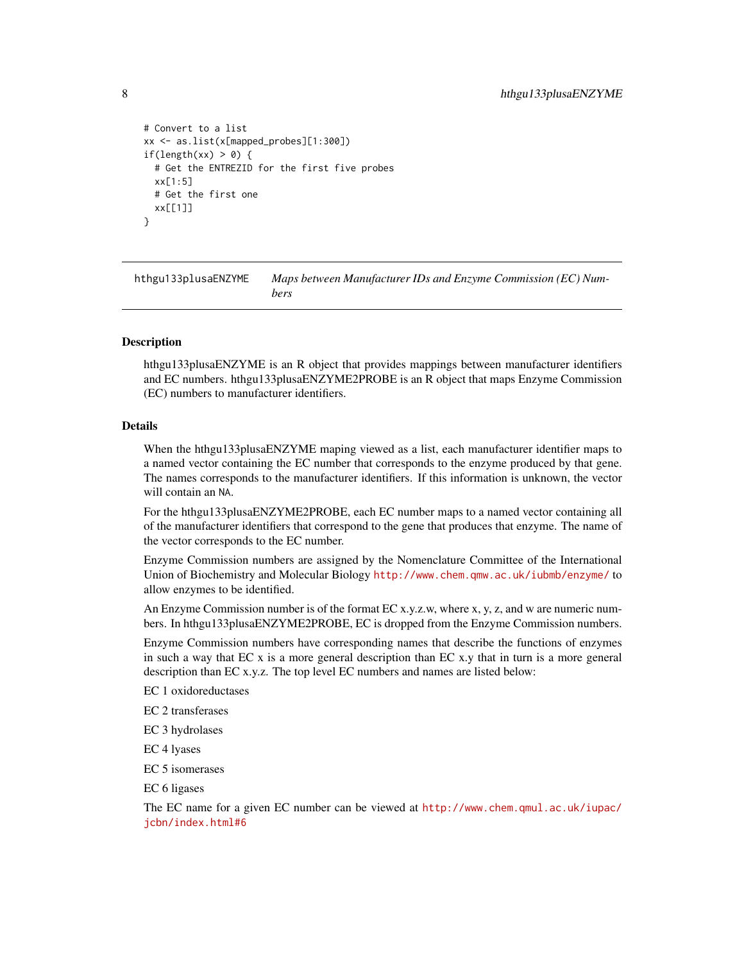```
# Convert to a list
xx <- as.list(x[mapped_probes][1:300])
if(length(xx) > 0) {
 # Get the ENTREZID for the first five probes
 xx[1:5]
 # Get the first one
 xx[[1]]
}
```
hthgu133plusaENZYME *Maps between Manufacturer IDs and Enzyme Commission (EC) Numbers*

## Description

hthgu133plusaENZYME is an R object that provides mappings between manufacturer identifiers and EC numbers. hthgu133plusaENZYME2PROBE is an R object that maps Enzyme Commission (EC) numbers to manufacturer identifiers.

#### Details

When the hthgu133plusaENZYME maping viewed as a list, each manufacturer identifier maps to a named vector containing the EC number that corresponds to the enzyme produced by that gene. The names corresponds to the manufacturer identifiers. If this information is unknown, the vector will contain an NA.

For the hthgu133plusaENZYME2PROBE, each EC number maps to a named vector containing all of the manufacturer identifiers that correspond to the gene that produces that enzyme. The name of the vector corresponds to the EC number.

Enzyme Commission numbers are assigned by the Nomenclature Committee of the International Union of Biochemistry and Molecular Biology <http://www.chem.qmw.ac.uk/iubmb/enzyme/>to allow enzymes to be identified.

An Enzyme Commission number is of the format EC x.y.z.w, where x, y, z, and w are numeric numbers. In hthgu133plusaENZYME2PROBE, EC is dropped from the Enzyme Commission numbers.

Enzyme Commission numbers have corresponding names that describe the functions of enzymes in such a way that EC x is a more general description than EC x.y that in turn is a more general description than EC x.y.z. The top level EC numbers and names are listed below:

EC 1 oxidoreductases

EC 2 transferases

EC 3 hydrolases

EC 4 lyases

EC 5 isomerases

EC 6 ligases

The EC name for a given EC number can be viewed at [http://www.chem.qmul.ac.uk/iupac/](http://www.chem.qmul.ac.uk/iupac/jcbn/index.html#6) [jcbn/index.html#6](http://www.chem.qmul.ac.uk/iupac/jcbn/index.html#6)

<span id="page-7-0"></span>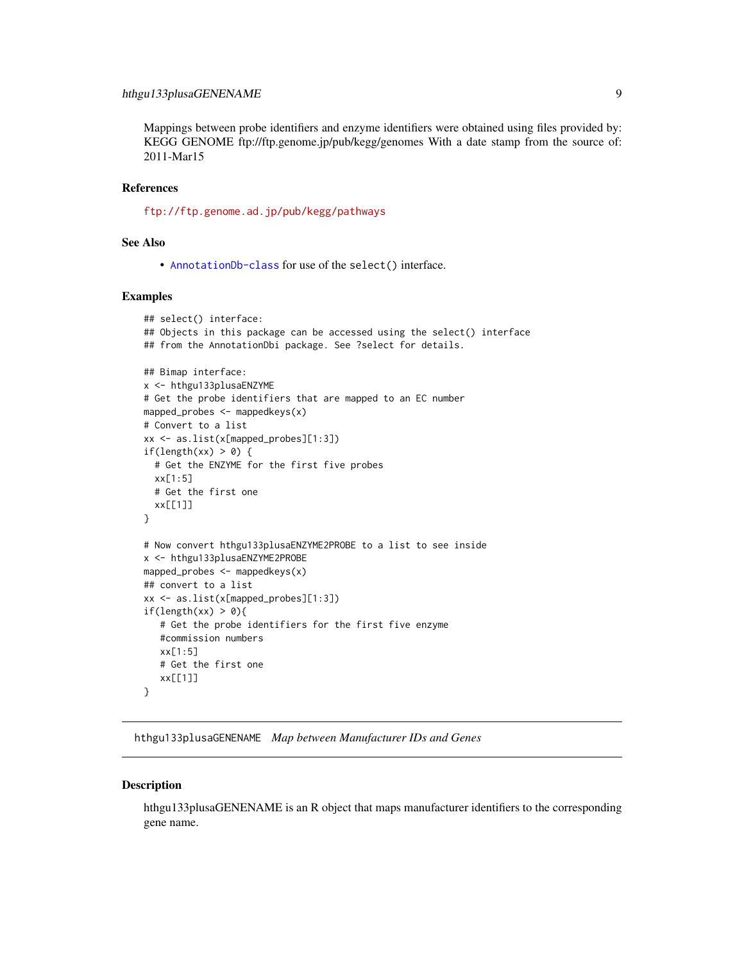# <span id="page-8-0"></span>hthgu133plusaGENENAME 9

Mappings between probe identifiers and enzyme identifiers were obtained using files provided by: KEGG GENOME ftp://ftp.genome.jp/pub/kegg/genomes With a date stamp from the source of: 2011-Mar15

## References

<ftp://ftp.genome.ad.jp/pub/kegg/pathways>

# See Also

• [AnnotationDb-class](#page-0-0) for use of the select() interface.

## Examples

```
## select() interface:
## Objects in this package can be accessed using the select() interface
## from the AnnotationDbi package. See ?select for details.
## Bimap interface:
x <- hthgu133plusaENZYME
# Get the probe identifiers that are mapped to an EC number
mapped_probes <- mappedkeys(x)
# Convert to a list
xx <- as.list(x[mapped_probes][1:3])
if(length(xx) > 0) {
  # Get the ENZYME for the first five probes
  xx[1:5]
  # Get the first one
  xx[[1]]
}
# Now convert hthgu133plusaENZYME2PROBE to a list to see inside
x <- hthgu133plusaENZYME2PROBE
mapped_probes <- mappedkeys(x)
## convert to a list
xx <- as.list(x[mapped_probes][1:3])
if(length(xx) > 0){
   # Get the probe identifiers for the first five enzyme
   #commission numbers
   xx[1:5]
   # Get the first one
  xx[[1]]
}
```
hthgu133plusaGENENAME *Map between Manufacturer IDs and Genes*

#### **Description**

hthgu133plusaGENENAME is an R object that maps manufacturer identifiers to the corresponding gene name.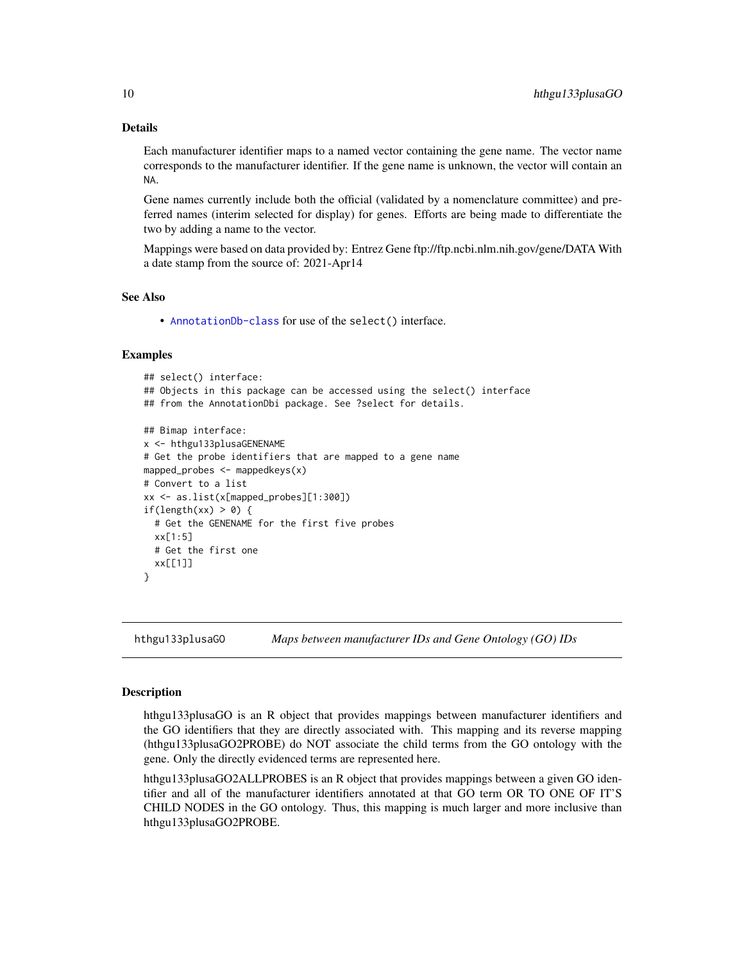# Details

Each manufacturer identifier maps to a named vector containing the gene name. The vector name corresponds to the manufacturer identifier. If the gene name is unknown, the vector will contain an NA.

Gene names currently include both the official (validated by a nomenclature committee) and preferred names (interim selected for display) for genes. Efforts are being made to differentiate the two by adding a name to the vector.

Mappings were based on data provided by: Entrez Gene ftp://ftp.ncbi.nlm.nih.gov/gene/DATA With a date stamp from the source of: 2021-Apr14

### See Also

• [AnnotationDb-class](#page-0-0) for use of the select() interface.

## Examples

```
## select() interface:
## Objects in this package can be accessed using the select() interface
## from the AnnotationDbi package. See ?select for details.
## Bimap interface:
x <- hthgu133plusaGENENAME
# Get the probe identifiers that are mapped to a gene name
mapped_probes \leq mappedkeys(x)
# Convert to a list
xx <- as.list(x[mapped_probes][1:300])
if(length(xx) > 0) {
  # Get the GENENAME for the first five probes
  xx[1:5]
  # Get the first one
  xx[[1]]
}
```
hthgu133plusaGO *Maps between manufacturer IDs and Gene Ontology (GO) IDs*

#### <span id="page-9-0"></span>Description

hthgu133plusaGO is an R object that provides mappings between manufacturer identifiers and the GO identifiers that they are directly associated with. This mapping and its reverse mapping (hthgu133plusaGO2PROBE) do NOT associate the child terms from the GO ontology with the gene. Only the directly evidenced terms are represented here.

hthgu133plusaGO2ALLPROBES is an R object that provides mappings between a given GO identifier and all of the manufacturer identifiers annotated at that GO term OR TO ONE OF IT'S CHILD NODES in the GO ontology. Thus, this mapping is much larger and more inclusive than hthgu133plusaGO2PROBE.

<span id="page-9-1"></span>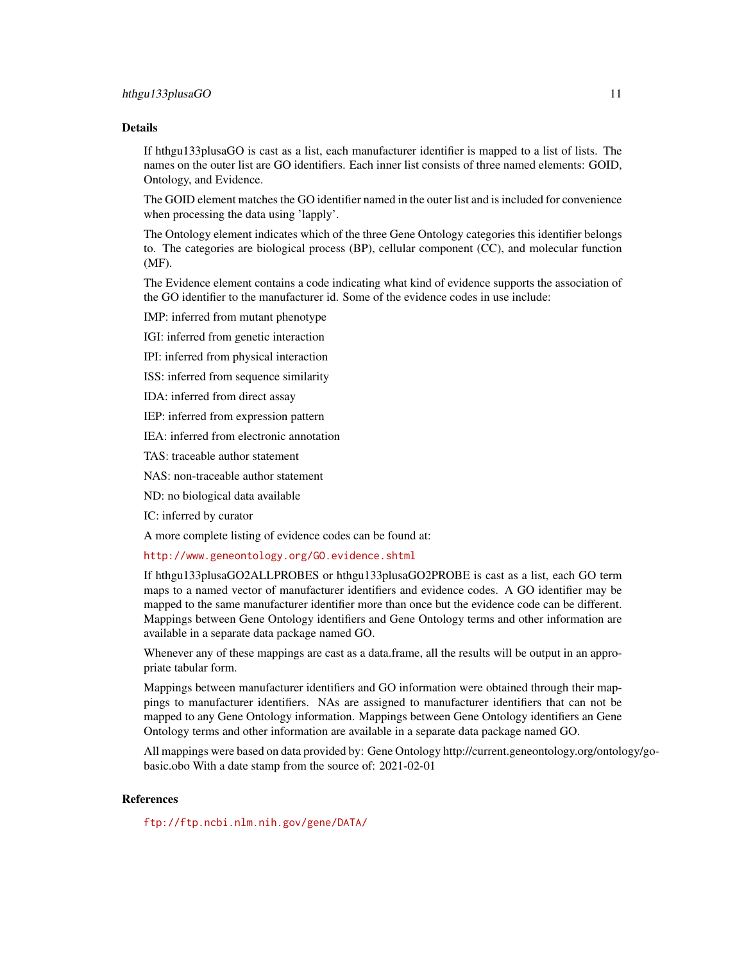## Details

If hthgu133plusaGO is cast as a list, each manufacturer identifier is mapped to a list of lists. The names on the outer list are GO identifiers. Each inner list consists of three named elements: GOID, Ontology, and Evidence.

The GOID element matches the GO identifier named in the outer list and is included for convenience when processing the data using 'lapply'.

The Ontology element indicates which of the three Gene Ontology categories this identifier belongs to. The categories are biological process (BP), cellular component (CC), and molecular function (MF).

The Evidence element contains a code indicating what kind of evidence supports the association of the GO identifier to the manufacturer id. Some of the evidence codes in use include:

IMP: inferred from mutant phenotype

IGI: inferred from genetic interaction

IPI: inferred from physical interaction

ISS: inferred from sequence similarity

IDA: inferred from direct assay

IEP: inferred from expression pattern

IEA: inferred from electronic annotation

TAS: traceable author statement

NAS: non-traceable author statement

ND: no biological data available

IC: inferred by curator

A more complete listing of evidence codes can be found at:

<http://www.geneontology.org/GO.evidence.shtml>

If hthgu133plusaGO2ALLPROBES or hthgu133plusaGO2PROBE is cast as a list, each GO term maps to a named vector of manufacturer identifiers and evidence codes. A GO identifier may be mapped to the same manufacturer identifier more than once but the evidence code can be different. Mappings between Gene Ontology identifiers and Gene Ontology terms and other information are available in a separate data package named GO.

Whenever any of these mappings are cast as a data.frame, all the results will be output in an appropriate tabular form.

Mappings between manufacturer identifiers and GO information were obtained through their mappings to manufacturer identifiers. NAs are assigned to manufacturer identifiers that can not be mapped to any Gene Ontology information. Mappings between Gene Ontology identifiers an Gene Ontology terms and other information are available in a separate data package named GO.

All mappings were based on data provided by: Gene Ontology http://current.geneontology.org/ontology/gobasic.obo With a date stamp from the source of: 2021-02-01

## References

<ftp://ftp.ncbi.nlm.nih.gov/gene/DATA/>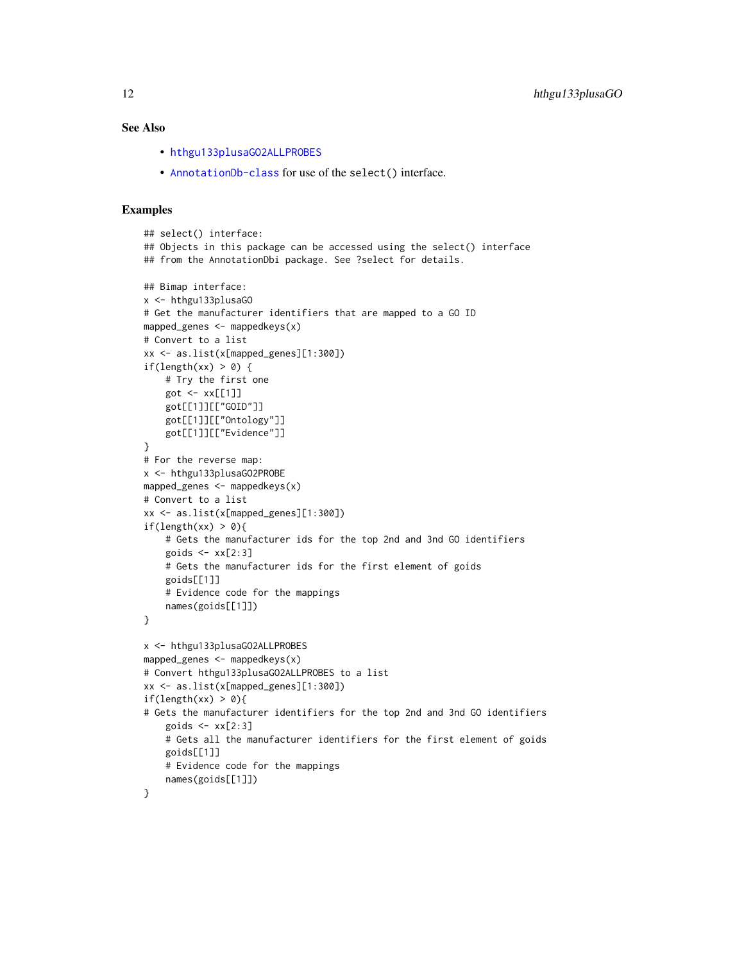## <span id="page-11-0"></span>See Also

- [hthgu133plusaGO2ALLPROBES](#page-9-0)
- [AnnotationDb-class](#page-0-0) for use of the select() interface.

```
## select() interface:
## Objects in this package can be accessed using the select() interface
## from the AnnotationDbi package. See ?select for details.
## Bimap interface:
x <- hthgu133plusaGO
# Get the manufacturer identifiers that are mapped to a GO ID
mapped_genes <- mappedkeys(x)
# Convert to a list
xx <- as.list(x[mapped_genes][1:300])
if(length(xx) > 0) {
    # Try the first one
   got \leq -xx[[1]]got[[1]][["GOID"]]
    got[[1]][["Ontology"]]
    got[[1]][["Evidence"]]
}
# For the reverse map:
x <- hthgu133plusaGO2PROBE
mapped_genes <- mappedkeys(x)
# Convert to a list
xx <- as.list(x[mapped_genes][1:300])
if(length(xx) > 0){
    # Gets the manufacturer ids for the top 2nd and 3nd GO identifiers
    goids \leq -x \times [2:3]# Gets the manufacturer ids for the first element of goids
    goids[[1]]
    # Evidence code for the mappings
   names(goids[[1]])
}
x <- hthgu133plusaGO2ALLPROBES
mapped_genes <- mappedkeys(x)
# Convert hthgu133plusaGO2ALLPROBES to a list
xx <- as.list(x[mapped_genes][1:300])
if(length(xx) > 0){
# Gets the manufacturer identifiers for the top 2nd and 3nd GO identifiers
    goids \leftarrow xx[2:3]# Gets all the manufacturer identifiers for the first element of goids
    goids[[1]]
    # Evidence code for the mappings
    names(goids[[1]])
}
```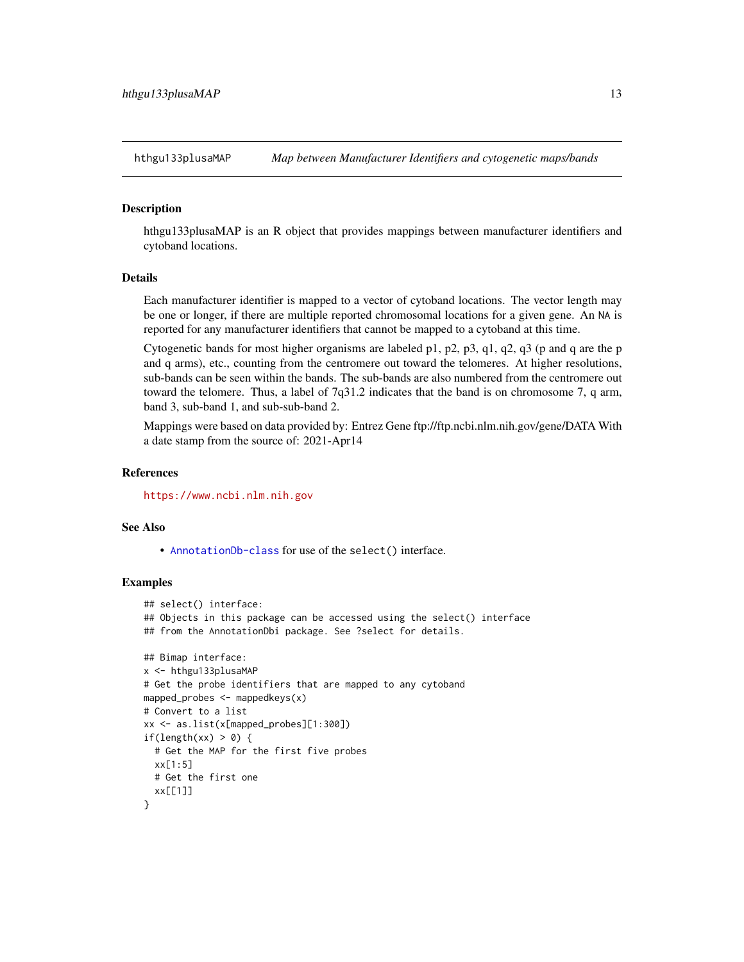<span id="page-12-0"></span>

## Description

hthgu133plusaMAP is an R object that provides mappings between manufacturer identifiers and cytoband locations.

## Details

Each manufacturer identifier is mapped to a vector of cytoband locations. The vector length may be one or longer, if there are multiple reported chromosomal locations for a given gene. An NA is reported for any manufacturer identifiers that cannot be mapped to a cytoband at this time.

Cytogenetic bands for most higher organisms are labeled p1, p2, p3, q1, q2, q3 (p and q are the p and q arms), etc., counting from the centromere out toward the telomeres. At higher resolutions, sub-bands can be seen within the bands. The sub-bands are also numbered from the centromere out toward the telomere. Thus, a label of 7q31.2 indicates that the band is on chromosome 7, q arm, band 3, sub-band 1, and sub-sub-band 2.

Mappings were based on data provided by: Entrez Gene ftp://ftp.ncbi.nlm.nih.gov/gene/DATA With a date stamp from the source of: 2021-Apr14

## **References**

<https://www.ncbi.nlm.nih.gov>

## See Also

• [AnnotationDb-class](#page-0-0) for use of the select() interface.

```
## select() interface:
## Objects in this package can be accessed using the select() interface
## from the AnnotationDbi package. See ?select for details.
## Bimap interface:
x <- hthgu133plusaMAP
# Get the probe identifiers that are mapped to any cytoband
mapped_probes <- mappedkeys(x)
# Convert to a list
xx <- as.list(x[mapped_probes][1:300])
if(length(xx) > 0) {
 # Get the MAP for the first five probes
 xx[1:5]
 # Get the first one
 xx[[1]]
}
```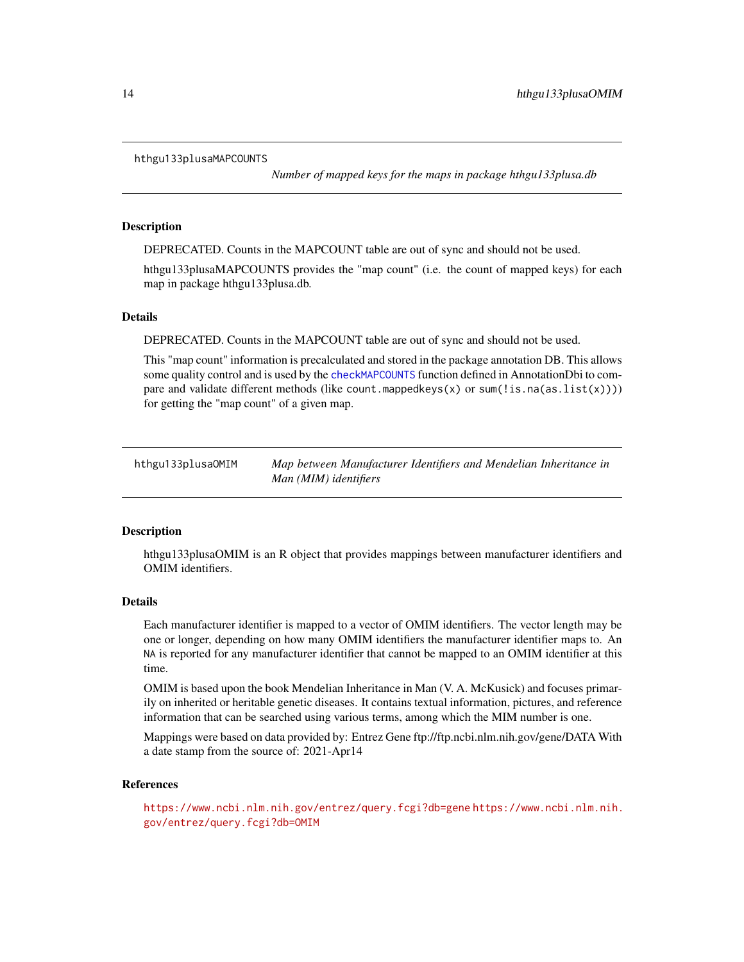#### <span id="page-13-0"></span>hthgu133plusaMAPCOUNTS

*Number of mapped keys for the maps in package hthgu133plusa.db*

## Description

DEPRECATED. Counts in the MAPCOUNT table are out of sync and should not be used.

hthgu133plusaMAPCOUNTS provides the "map count" (i.e. the count of mapped keys) for each map in package hthgu133plusa.db.

## Details

DEPRECATED. Counts in the MAPCOUNT table are out of sync and should not be used.

This "map count" information is precalculated and stored in the package annotation DB. This allows some quality control and is used by the [checkMAPCOUNTS](#page-0-0) function defined in AnnotationDbi to compare and validate different methods (like count.mappedkeys $(x)$  or sum(!is.na(as.list(x)))) for getting the "map count" of a given map.

hthgu133plusaOMIM *Map between Manufacturer Identifiers and Mendelian Inheritance in Man (MIM) identifiers*

## **Description**

hthgu133plusaOMIM is an R object that provides mappings between manufacturer identifiers and OMIM identifiers.

## Details

Each manufacturer identifier is mapped to a vector of OMIM identifiers. The vector length may be one or longer, depending on how many OMIM identifiers the manufacturer identifier maps to. An NA is reported for any manufacturer identifier that cannot be mapped to an OMIM identifier at this time.

OMIM is based upon the book Mendelian Inheritance in Man (V. A. McKusick) and focuses primarily on inherited or heritable genetic diseases. It contains textual information, pictures, and reference information that can be searched using various terms, among which the MIM number is one.

Mappings were based on data provided by: Entrez Gene ftp://ftp.ncbi.nlm.nih.gov/gene/DATA With a date stamp from the source of: 2021-Apr14

#### References

<https://www.ncbi.nlm.nih.gov/entrez/query.fcgi?db=gene> [https://www.ncbi.nlm.nih.](https://www.ncbi.nlm.nih.gov/entrez/query.fcgi?db=OMIM) [gov/entrez/query.fcgi?db=OMIM](https://www.ncbi.nlm.nih.gov/entrez/query.fcgi?db=OMIM)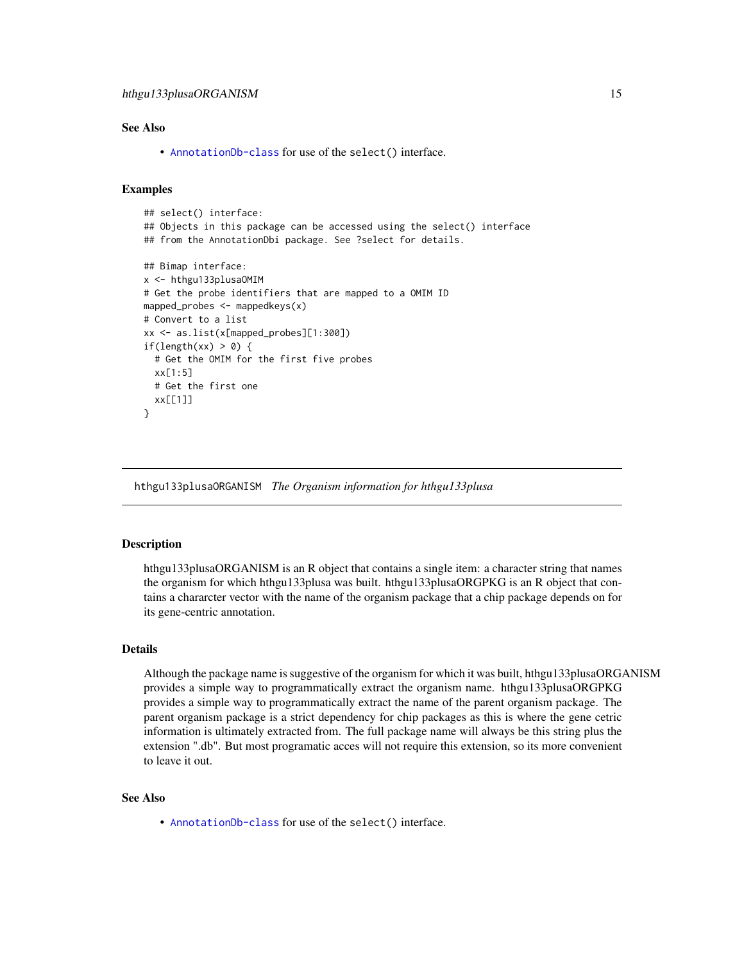# <span id="page-14-0"></span>See Also

• [AnnotationDb-class](#page-0-0) for use of the select() interface.

## Examples

```
## select() interface:
## Objects in this package can be accessed using the select() interface
## from the AnnotationDbi package. See ?select for details.
## Bimap interface:
x <- hthgu133plusaOMIM
# Get the probe identifiers that are mapped to a OMIM ID
mapped_probes <- mappedkeys(x)
# Convert to a list
xx <- as.list(x[mapped_probes][1:300])
if(length(xx) > 0) {
 # Get the OMIM for the first five probes
 xx[1:5]
 # Get the first one
 xx[[1]]
}
```
hthgu133plusaORGANISM *The Organism information for hthgu133plusa*

#### **Description**

hthgu133plusaORGANISM is an R object that contains a single item: a character string that names the organism for which hthgu133plusa was built. hthgu133plusaORGPKG is an R object that contains a chararcter vector with the name of the organism package that a chip package depends on for its gene-centric annotation.

## Details

Although the package name is suggestive of the organism for which it was built, hthgu133plusaORGANISM provides a simple way to programmatically extract the organism name. hthgu133plusaORGPKG provides a simple way to programmatically extract the name of the parent organism package. The parent organism package is a strict dependency for chip packages as this is where the gene cetric information is ultimately extracted from. The full package name will always be this string plus the extension ".db". But most programatic acces will not require this extension, so its more convenient to leave it out.

## See Also

• [AnnotationDb-class](#page-0-0) for use of the select() interface.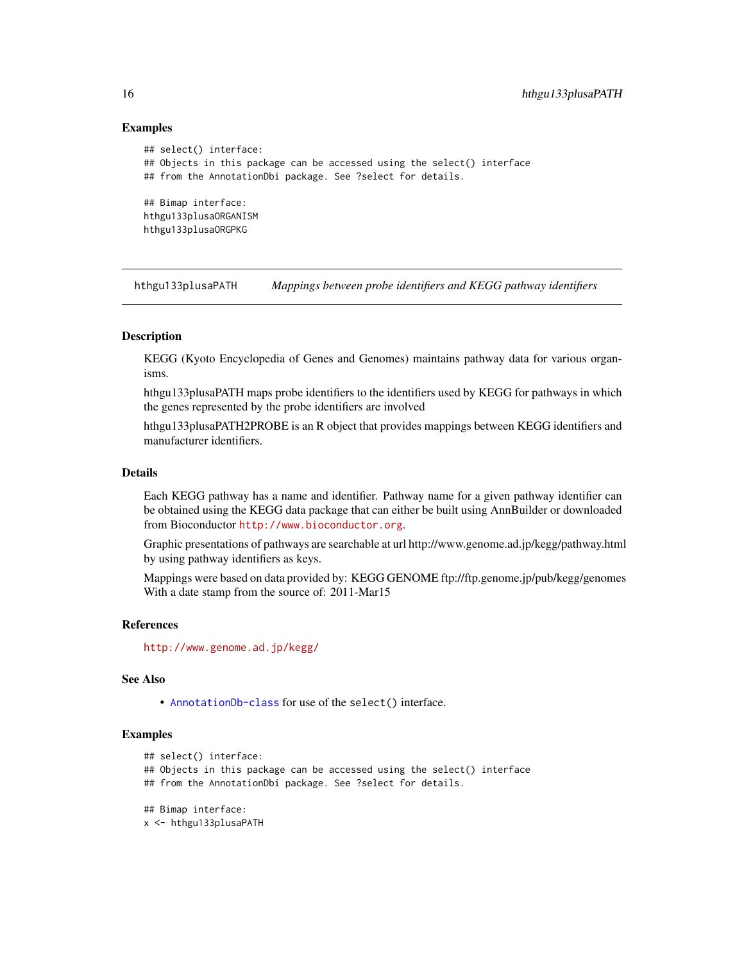## Examples

```
## select() interface:
## Objects in this package can be accessed using the select() interface
## from the AnnotationDbi package. See ?select for details.
## Bimap interface:
hthgu133plusaORGANISM
hthgu133plusaORGPKG
```
hthgu133plusaPATH *Mappings between probe identifiers and KEGG pathway identifiers*

## Description

KEGG (Kyoto Encyclopedia of Genes and Genomes) maintains pathway data for various organisms.

hthgu133plusaPATH maps probe identifiers to the identifiers used by KEGG for pathways in which the genes represented by the probe identifiers are involved

hthgu133plusaPATH2PROBE is an R object that provides mappings between KEGG identifiers and manufacturer identifiers.

## Details

Each KEGG pathway has a name and identifier. Pathway name for a given pathway identifier can be obtained using the KEGG data package that can either be built using AnnBuilder or downloaded from Bioconductor <http://www.bioconductor.org>.

Graphic presentations of pathways are searchable at url http://www.genome.ad.jp/kegg/pathway.html by using pathway identifiers as keys.

Mappings were based on data provided by: KEGG GENOME ftp://ftp.genome.jp/pub/kegg/genomes With a date stamp from the source of: 2011-Mar15

## References

<http://www.genome.ad.jp/kegg/>

## See Also

• [AnnotationDb-class](#page-0-0) for use of the select() interface.

```
## select() interface:
## Objects in this package can be accessed using the select() interface
## from the AnnotationDbi package. See ?select for details.
## Bimap interface:
x <- hthgu133plusaPATH
```
<span id="page-15-0"></span>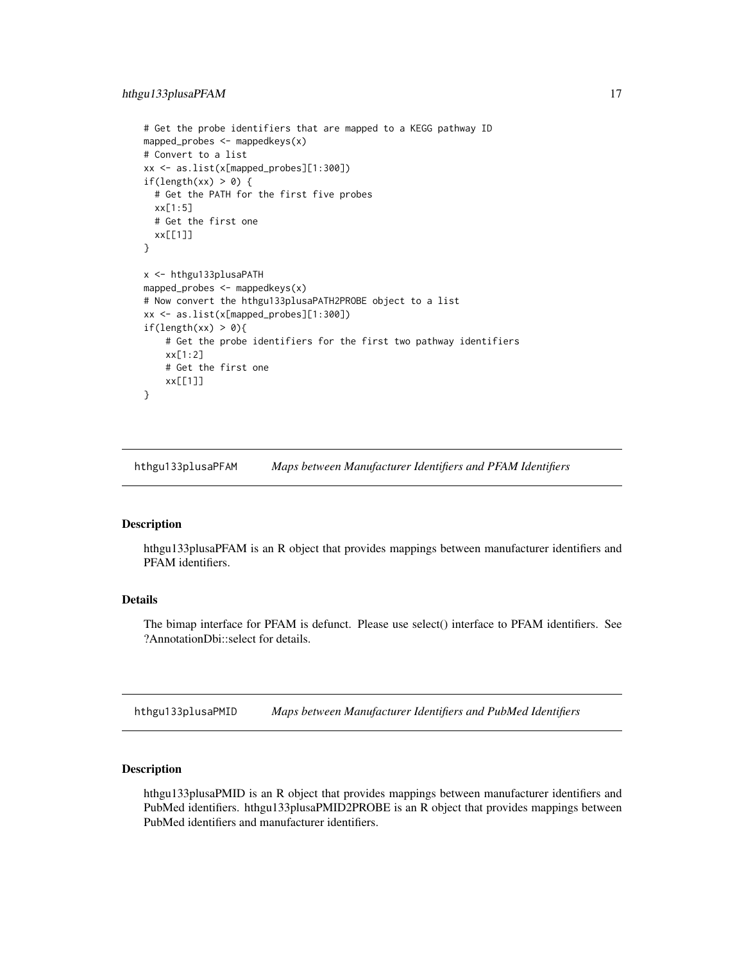```
# Get the probe identifiers that are mapped to a KEGG pathway ID
mapped_probes <- mappedkeys(x)
# Convert to a list
xx <- as.list(x[mapped_probes][1:300])
if(length(xx) > 0) {
 # Get the PATH for the first five probes
 xx[1:5]
 # Get the first one
 xx[[1]]
}
x <- hthgu133plusaPATH
mapped_probes <- mappedkeys(x)
# Now convert the hthgu133plusaPATH2PROBE object to a list
xx <- as.list(x[mapped_probes][1:300])
if(length(xx) > 0){
    # Get the probe identifiers for the first two pathway identifiers
   xx[1:2]
    # Get the first one
   xx[[1]]
}
```
hthgu133plusaPFAM *Maps between Manufacturer Identifiers and PFAM Identifiers*

## Description

hthgu133plusaPFAM is an R object that provides mappings between manufacturer identifiers and PFAM identifiers.

## Details

The bimap interface for PFAM is defunct. Please use select() interface to PFAM identifiers. See ?AnnotationDbi::select for details.

hthgu133plusaPMID *Maps between Manufacturer Identifiers and PubMed Identifiers*

#### Description

hthgu133plusaPMID is an R object that provides mappings between manufacturer identifiers and PubMed identifiers. hthgu133plusaPMID2PROBE is an R object that provides mappings between PubMed identifiers and manufacturer identifiers.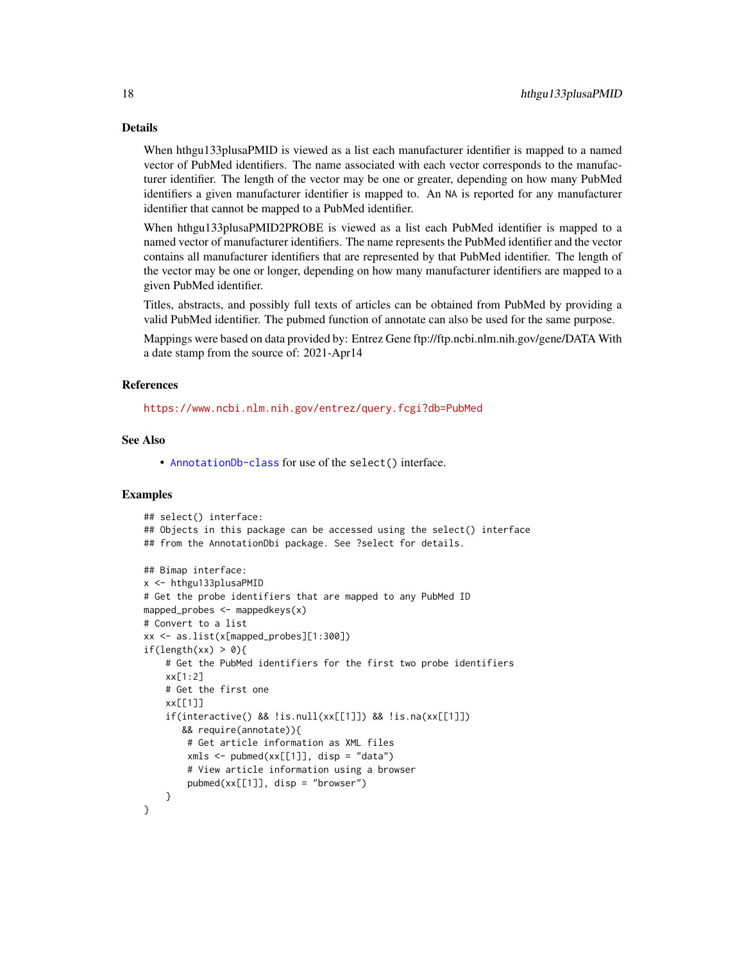## Details

When hthgu133plusaPMID is viewed as a list each manufacturer identifier is mapped to a named vector of PubMed identifiers. The name associated with each vector corresponds to the manufacturer identifier. The length of the vector may be one or greater, depending on how many PubMed identifiers a given manufacturer identifier is mapped to. An NA is reported for any manufacturer identifier that cannot be mapped to a PubMed identifier.

When hthgu133plusaPMID2PROBE is viewed as a list each PubMed identifier is mapped to a named vector of manufacturer identifiers. The name represents the PubMed identifier and the vector contains all manufacturer identifiers that are represented by that PubMed identifier. The length of the vector may be one or longer, depending on how many manufacturer identifiers are mapped to a given PubMed identifier.

Titles, abstracts, and possibly full texts of articles can be obtained from PubMed by providing a valid PubMed identifier. The pubmed function of annotate can also be used for the same purpose.

Mappings were based on data provided by: Entrez Gene ftp://ftp.ncbi.nlm.nih.gov/gene/DATA With a date stamp from the source of: 2021-Apr14

## References

<https://www.ncbi.nlm.nih.gov/entrez/query.fcgi?db=PubMed>

# See Also

• [AnnotationDb-class](#page-0-0) for use of the select() interface.

```
## select() interface:
## Objects in this package can be accessed using the select() interface
## from the AnnotationDbi package. See ?select for details.
## Bimap interface:
x <- hthgu133plusaPMID
# Get the probe identifiers that are mapped to any PubMed ID
mapped_probes \leq mappedkeys(x)
# Convert to a list
xx <- as.list(x[mapped_probes][1:300])
if(length(xx) > 0)# Get the PubMed identifiers for the first two probe identifiers
    xx[1:2]
    # Get the first one
    xx[[1]]
    if(interactive() && !is.null(xx[[1]]) && !is.na(xx[[1]])
       && require(annotate)){
        # Get article information as XML files
        xmls < -pubmed(xx[[1]], disp = "data")# View article information using a browser
        pubmed(xx[[1]], disp = "browser")
    }
}
```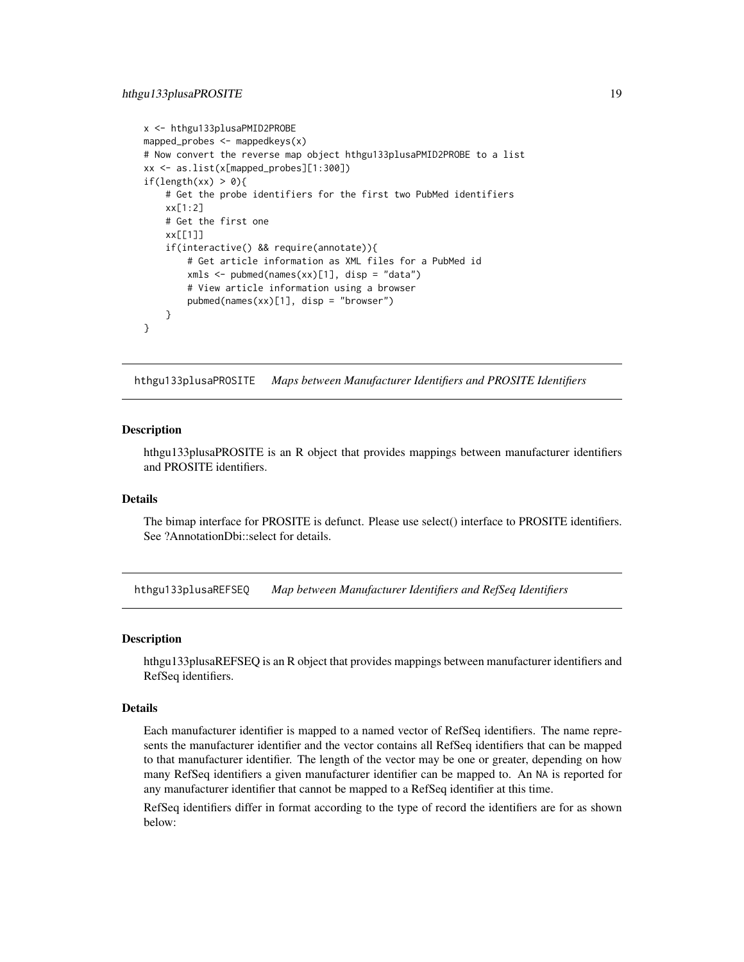```
x <- hthgu133plusaPMID2PROBE
mapped_probes <- mappedkeys(x)
# Now convert the reverse map object hthgu133plusaPMID2PROBE to a list
xx <- as.list(x[mapped_probes][1:300])
if(length(xx) > 0){
    # Get the probe identifiers for the first two PubMed identifiers
    xx[1:2]
    # Get the first one
    xx[[1]]
    if(interactive() && require(annotate)){
       # Get article information as XML files for a PubMed id
       xmls <- pubmed(names(xx)[1], disp = "data")
       # View article information using a browser
       pubmed(names(xx)[1], disp = "browser")
   }
}
```
hthgu133plusaPROSITE *Maps between Manufacturer Identifiers and PROSITE Identifiers*

## **Description**

hthgu133plusaPROSITE is an R object that provides mappings between manufacturer identifiers and PROSITE identifiers.

#### Details

The bimap interface for PROSITE is defunct. Please use select() interface to PROSITE identifiers. See ?AnnotationDbi::select for details.

hthgu133plusaREFSEQ *Map between Manufacturer Identifiers and RefSeq Identifiers*

## Description

hthgu133plusaREFSEQ is an R object that provides mappings between manufacturer identifiers and RefSeq identifiers.

#### Details

Each manufacturer identifier is mapped to a named vector of RefSeq identifiers. The name represents the manufacturer identifier and the vector contains all RefSeq identifiers that can be mapped to that manufacturer identifier. The length of the vector may be one or greater, depending on how many RefSeq identifiers a given manufacturer identifier can be mapped to. An NA is reported for any manufacturer identifier that cannot be mapped to a RefSeq identifier at this time.

RefSeq identifiers differ in format according to the type of record the identifiers are for as shown below: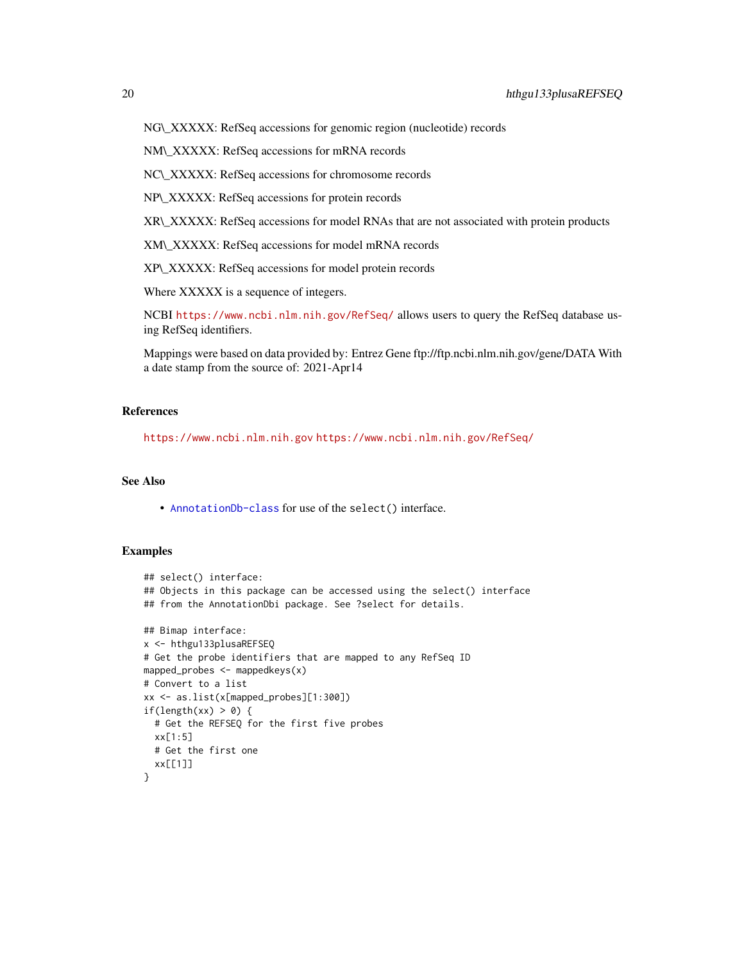NG\\_XXXXX: RefSeq accessions for genomic region (nucleotide) records

NM\\_XXXXX: RefSeq accessions for mRNA records

NC\\_XXXXX: RefSeq accessions for chromosome records

NP\\_XXXXX: RefSeq accessions for protein records

XR\\_XXXXX: RefSeq accessions for model RNAs that are not associated with protein products

XM\\_XXXXX: RefSeq accessions for model mRNA records

XP\\_XXXXX: RefSeq accessions for model protein records

Where XXXXX is a sequence of integers.

NCBI <https://www.ncbi.nlm.nih.gov/RefSeq/> allows users to query the RefSeq database using RefSeq identifiers.

Mappings were based on data provided by: Entrez Gene ftp://ftp.ncbi.nlm.nih.gov/gene/DATA With a date stamp from the source of: 2021-Apr14

## References

<https://www.ncbi.nlm.nih.gov> <https://www.ncbi.nlm.nih.gov/RefSeq/>

# See Also

• [AnnotationDb-class](#page-0-0) for use of the select() interface.

```
## select() interface:
## Objects in this package can be accessed using the select() interface
## from the AnnotationDbi package. See ?select for details.
## Bimap interface:
x <- hthgu133plusaREFSEQ
# Get the probe identifiers that are mapped to any RefSeq ID
mapped_probes \leq mappedkeys(x)
# Convert to a list
xx <- as.list(x[mapped_probes][1:300])
if(length(xx) > 0) {
  # Get the REFSEQ for the first five probes
  xx[1:5]
  # Get the first one
  xx[[1]]
}
```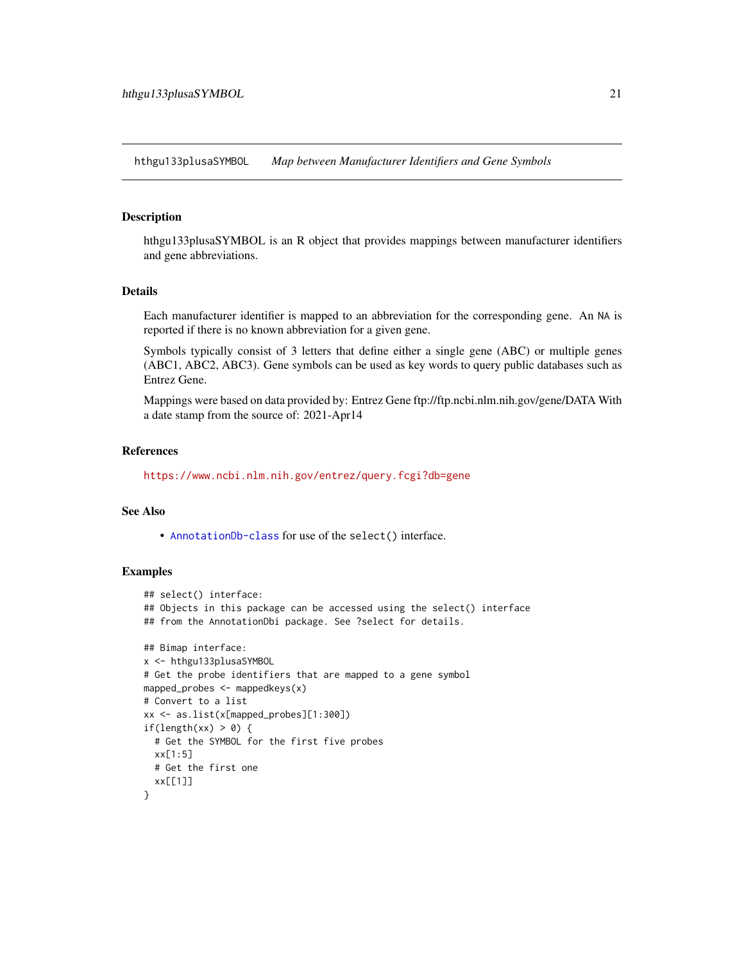<span id="page-20-0"></span>hthgu133plusaSYMBOL *Map between Manufacturer Identifiers and Gene Symbols*

## Description

hthgu133plusaSYMBOL is an R object that provides mappings between manufacturer identifiers and gene abbreviations.

#### Details

Each manufacturer identifier is mapped to an abbreviation for the corresponding gene. An NA is reported if there is no known abbreviation for a given gene.

Symbols typically consist of 3 letters that define either a single gene (ABC) or multiple genes (ABC1, ABC2, ABC3). Gene symbols can be used as key words to query public databases such as Entrez Gene.

Mappings were based on data provided by: Entrez Gene ftp://ftp.ncbi.nlm.nih.gov/gene/DATA With a date stamp from the source of: 2021-Apr14

#### References

<https://www.ncbi.nlm.nih.gov/entrez/query.fcgi?db=gene>

## See Also

• [AnnotationDb-class](#page-0-0) for use of the select() interface.

```
## select() interface:
## Objects in this package can be accessed using the select() interface
## from the AnnotationDbi package. See ?select for details.
## Bimap interface:
x <- hthgu133plusaSYMBOL
# Get the probe identifiers that are mapped to a gene symbol
mapped_probes <- mappedkeys(x)
# Convert to a list
xx <- as.list(x[mapped_probes][1:300])
if(length(xx) > 0) {
  # Get the SYMBOL for the first five probes
  xx[1:5]
  # Get the first one
  xx[[1]]
}
```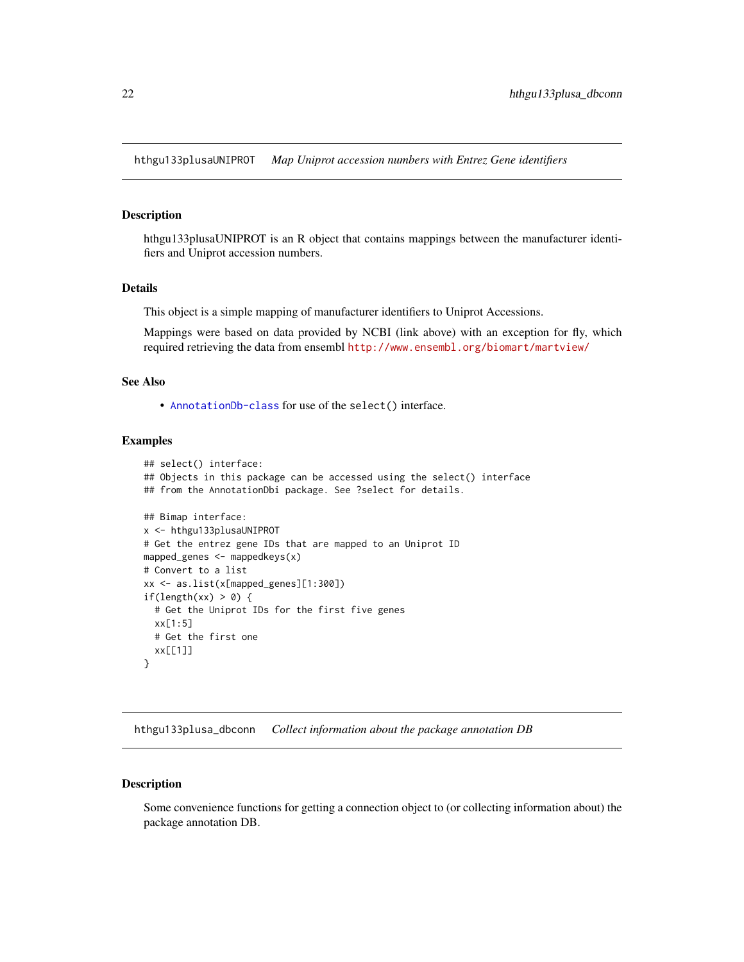<span id="page-21-0"></span>hthgu133plusaUNIPROT *Map Uniprot accession numbers with Entrez Gene identifiers*

## **Description**

hthgu133plusaUNIPROT is an R object that contains mappings between the manufacturer identifiers and Uniprot accession numbers.

#### Details

This object is a simple mapping of manufacturer identifiers to Uniprot Accessions.

Mappings were based on data provided by NCBI (link above) with an exception for fly, which required retrieving the data from ensembl <http://www.ensembl.org/biomart/martview/>

## See Also

• [AnnotationDb-class](#page-0-0) for use of the select() interface.

## Examples

```
## select() interface:
## Objects in this package can be accessed using the select() interface
## from the AnnotationDbi package. See ?select for details.
## Bimap interface:
x <- hthgu133plusaUNIPROT
# Get the entrez gene IDs that are mapped to an Uniprot ID
mapped_genes <- mappedkeys(x)
# Convert to a list
xx <- as.list(x[mapped_genes][1:300])
if(length(xx) > 0) {
  # Get the Uniprot IDs for the first five genes
  xx[1:5]
  # Get the first one
  xx[[1]]
}
```
hthgu133plusa\_dbconn *Collect information about the package annotation DB*

#### Description

Some convenience functions for getting a connection object to (or collecting information about) the package annotation DB.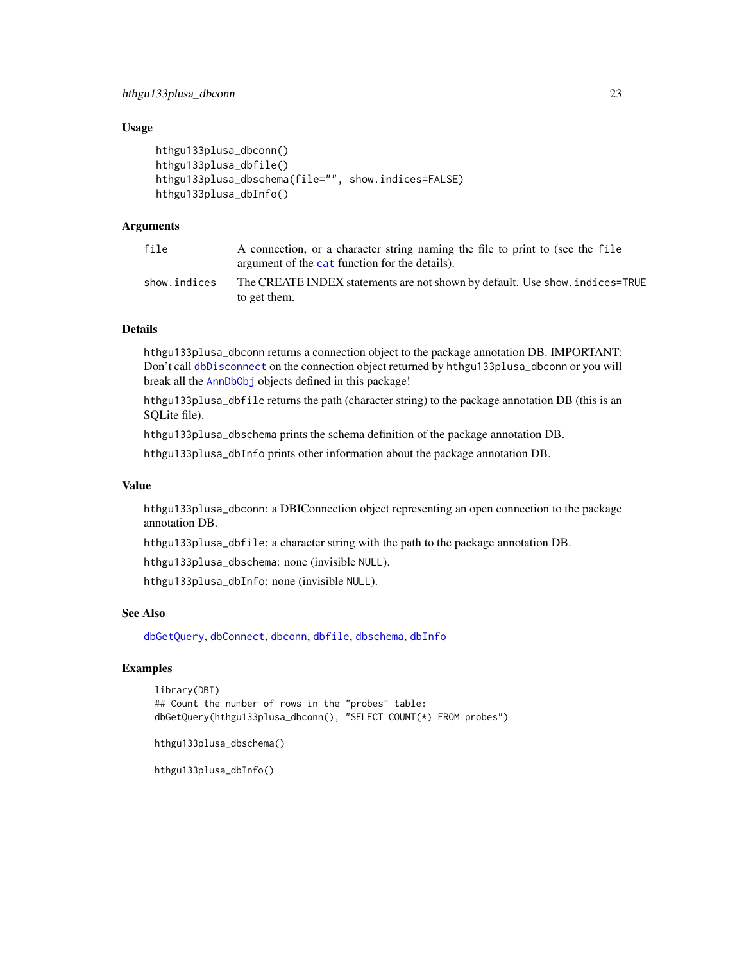# <span id="page-22-0"></span>Usage

```
hthgu133plusa_dbconn()
hthgu133plusa_dbfile()
hthgu133plusa_dbschema(file="", show.indices=FALSE)
hthgu133plusa_dbInfo()
```
# Arguments

| file         | A connection, or a character string naming the file to print to (see the file<br>argument of the cat function for the details). |
|--------------|---------------------------------------------------------------------------------------------------------------------------------|
| show.indices | The CREATE INDEX statements are not shown by default. Use show, indices=TRUE<br>to get them.                                    |

## Details

hthgu133plusa\_dbconn returns a connection object to the package annotation DB. IMPORTANT: Don't call [dbDisconnect](#page-0-0) on the connection object returned by hthgu133plusa\_dbconn or you will break all the [AnnDbObj](#page-0-0) objects defined in this package!

hthgu133plusa\_dbfile returns the path (character string) to the package annotation DB (this is an SQLite file).

hthgu133plusa\_dbschema prints the schema definition of the package annotation DB.

hthgu133plusa\_dbInfo prints other information about the package annotation DB.

# Value

hthgu133plusa\_dbconn: a DBIConnection object representing an open connection to the package annotation DB.

hthgu133plusa\_dbfile: a character string with the path to the package annotation DB.

hthgu133plusa\_dbschema: none (invisible NULL).

hthgu133plusa\_dbInfo: none (invisible NULL).

# See Also

[dbGetQuery](#page-0-0), [dbConnect](#page-0-0), [dbconn](#page-0-0), [dbfile](#page-0-0), [dbschema](#page-0-0), [dbInfo](#page-0-0)

# Examples

```
library(DBI)
## Count the number of rows in the "probes" table:
dbGetQuery(hthgu133plusa_dbconn(), "SELECT COUNT(*) FROM probes")
```

```
hthgu133plusa_dbschema()
```
hthgu133plusa\_dbInfo()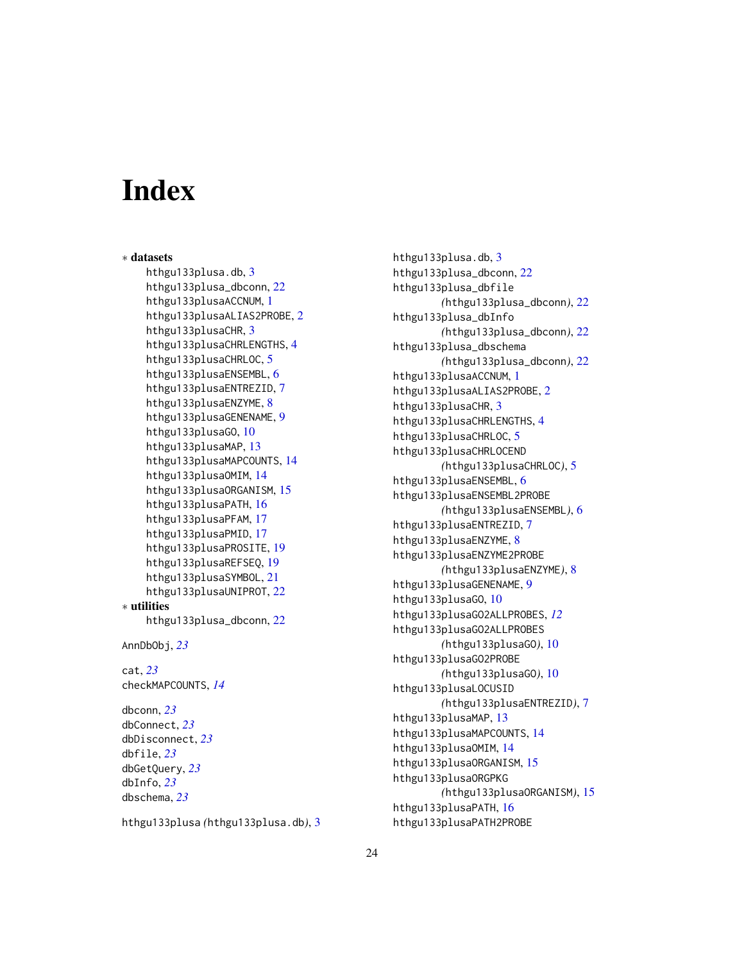# **Index**

∗ datasets hthgu133plusa.db, [3](#page-2-0) hthgu133plusa\_dbconn, [22](#page-21-0) hthgu133plusaACCNUM, [1](#page-0-1) hthgu133plusaALIAS2PROBE, [2](#page-1-0) hthgu133plusaCHR, [3](#page-2-0) hthgu133plusaCHRLENGTHS, [4](#page-3-0) hthgu133plusaCHRLOC, [5](#page-4-0) hthgu133plusaENSEMBL, [6](#page-5-0) hthgu133plusaENTREZID, [7](#page-6-0) hthgu133plusaENZYME, [8](#page-7-0) hthgu133plusaGENENAME, [9](#page-8-0) hthgu133plusaGO, [10](#page-9-1) hthgu133plusaMAP, [13](#page-12-0) hthgu133plusaMAPCOUNTS, [14](#page-13-0) hthgu133plusaOMIM, [14](#page-13-0) hthgu133plusaORGANISM, [15](#page-14-0) hthgu133plusaPATH, [16](#page-15-0) hthgu133plusaPFAM, [17](#page-16-0) hthgu133plusaPMID, [17](#page-16-0) hthgu133plusaPROSITE, [19](#page-18-0) hthgu133plusaREFSEQ, [19](#page-18-0) hthgu133plusaSYMBOL, [21](#page-20-0) hthgu133plusaUNIPROT, [22](#page-21-0) ∗ utilities hthgu133plusa\_dbconn, [22](#page-21-0) AnnDbObj, *[23](#page-22-0)* cat, *[23](#page-22-0)* checkMAPCOUNTS, *[14](#page-13-0)* dbconn, *[23](#page-22-0)* dbConnect, *[23](#page-22-0)* dbDisconnect, *[23](#page-22-0)* dbfile, *[23](#page-22-0)* dbGetQuery, *[23](#page-22-0)* dbInfo, *[23](#page-22-0)*

hthgu133plusa *(*hthgu133plusa.db*)*, [3](#page-2-0)

dbschema, *[23](#page-22-0)*

hthgu133plusa.db, [3](#page-2-0) hthgu133plusa\_dbconn, [22](#page-21-0) hthgu133plusa\_dbfile *(*hthgu133plusa\_dbconn*)*, [22](#page-21-0) hthgu133plusa\_dbInfo *(*hthgu133plusa\_dbconn*)*, [22](#page-21-0) hthgu133plusa\_dbschema *(*hthgu133plusa\_dbconn*)*, [22](#page-21-0) hthgu133plusaACCNUM, [1](#page-0-1) hthgu133plusaALIAS2PROBE, [2](#page-1-0) hthgu133plusaCHR, [3](#page-2-0) hthgu133plusaCHRLENGTHS, [4](#page-3-0) hthgu133plusaCHRLOC, [5](#page-4-0) hthgu133plusaCHRLOCEND *(*hthgu133plusaCHRLOC*)*, [5](#page-4-0) hthgu133plusaENSEMBL, [6](#page-5-0) hthgu133plusaENSEMBL2PROBE *(*hthgu133plusaENSEMBL*)*, [6](#page-5-0) hthgu133plusaENTREZID, [7](#page-6-0) hthgu133plusaENZYME, [8](#page-7-0) hthgu133plusaENZYME2PROBE *(*hthgu133plusaENZYME*)*, [8](#page-7-0) hthgu133plusaGENENAME, [9](#page-8-0) hthgu133plusaGO, [10](#page-9-1) hthgu133plusaGO2ALLPROBES, *[12](#page-11-0)* hthgu133plusaGO2ALLPROBES *(*hthgu133plusaGO*)*, [10](#page-9-1) hthgu133plusaGO2PROBE *(*hthgu133plusaGO*)*, [10](#page-9-1) hthgu133plusaLOCUSID *(*hthgu133plusaENTREZID*)*, [7](#page-6-0) hthgu133plusaMAP, [13](#page-12-0) hthgu133plusaMAPCOUNTS, [14](#page-13-0) hthgu133plusaOMIM, [14](#page-13-0) hthgu133plusaORGANISM, [15](#page-14-0) hthgu133plusaORGPKG *(*hthgu133plusaORGANISM*)*, [15](#page-14-0) hthgu133plusaPATH, [16](#page-15-0) hthgu133plusaPATH2PROBE